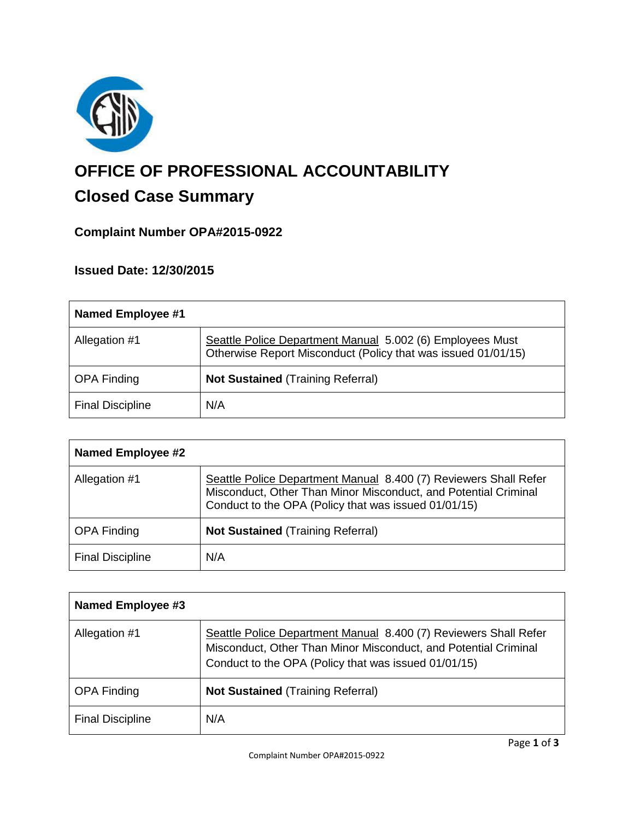

# **OFFICE OF PROFESSIONAL ACCOUNTABILITY Closed Case Summary**

## **Complaint Number OPA#2015-0922**

### **Issued Date: 12/30/2015**

| <b>Named Employee #1</b> |                                                                                                                            |
|--------------------------|----------------------------------------------------------------------------------------------------------------------------|
| Allegation #1            | Seattle Police Department Manual 5.002 (6) Employees Must<br>Otherwise Report Misconduct (Policy that was issued 01/01/15) |
| <b>OPA Finding</b>       | <b>Not Sustained (Training Referral)</b>                                                                                   |
| <b>Final Discipline</b>  | N/A                                                                                                                        |

| <b>Named Employee #2</b> |                                                                                                                                                                                             |
|--------------------------|---------------------------------------------------------------------------------------------------------------------------------------------------------------------------------------------|
| Allegation #1            | Seattle Police Department Manual 8.400 (7) Reviewers Shall Refer<br>Misconduct, Other Than Minor Misconduct, and Potential Criminal<br>Conduct to the OPA (Policy that was issued 01/01/15) |
| <b>OPA Finding</b>       | <b>Not Sustained (Training Referral)</b>                                                                                                                                                    |
| <b>Final Discipline</b>  | N/A                                                                                                                                                                                         |

| <b>Named Employee #3</b> |                                                                                                                                                                                             |
|--------------------------|---------------------------------------------------------------------------------------------------------------------------------------------------------------------------------------------|
| Allegation #1            | Seattle Police Department Manual 8.400 (7) Reviewers Shall Refer<br>Misconduct, Other Than Minor Misconduct, and Potential Criminal<br>Conduct to the OPA (Policy that was issued 01/01/15) |
| <b>OPA Finding</b>       | <b>Not Sustained (Training Referral)</b>                                                                                                                                                    |
| <b>Final Discipline</b>  | N/A                                                                                                                                                                                         |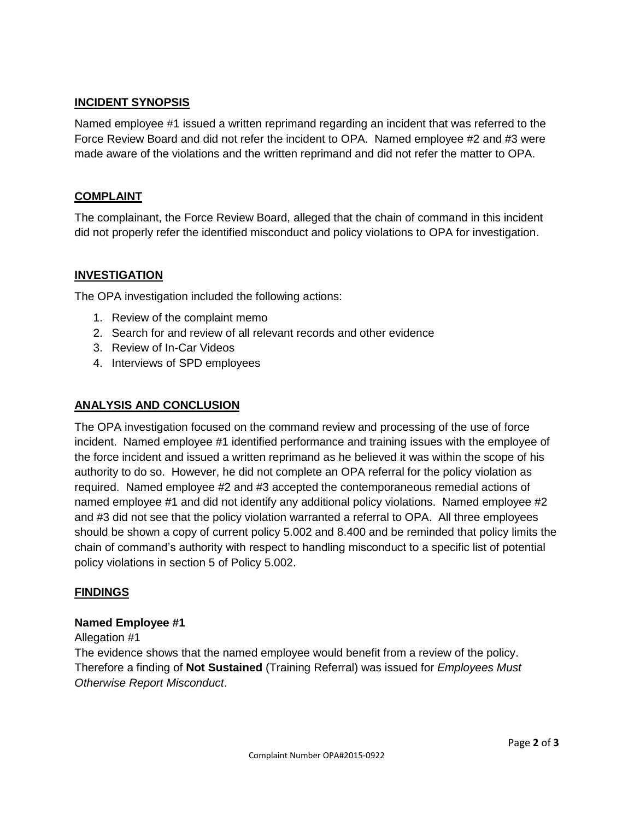#### **INCIDENT SYNOPSIS**

Named employee #1 issued a written reprimand regarding an incident that was referred to the Force Review Board and did not refer the incident to OPA. Named employee #2 and #3 were made aware of the violations and the written reprimand and did not refer the matter to OPA.

#### **COMPLAINT**

The complainant, the Force Review Board, alleged that the chain of command in this incident did not properly refer the identified misconduct and policy violations to OPA for investigation.

#### **INVESTIGATION**

The OPA investigation included the following actions:

- 1. Review of the complaint memo
- 2. Search for and review of all relevant records and other evidence
- 3. Review of In-Car Videos
- 4. Interviews of SPD employees

#### **ANALYSIS AND CONCLUSION**

The OPA investigation focused on the command review and processing of the use of force incident. Named employee #1 identified performance and training issues with the employee of the force incident and issued a written reprimand as he believed it was within the scope of his authority to do so. However, he did not complete an OPA referral for the policy violation as required. Named employee #2 and #3 accepted the contemporaneous remedial actions of named employee #1 and did not identify any additional policy violations. Named employee #2 and #3 did not see that the policy violation warranted a referral to OPA. All three employees should be shown a copy of current policy 5.002 and 8.400 and be reminded that policy limits the chain of command's authority with respect to handling misconduct to a specific list of potential policy violations in section 5 of Policy 5.002.

#### **FINDINGS**

#### **Named Employee #1**

#### Allegation #1

The evidence shows that the named employee would benefit from a review of the policy. Therefore a finding of **Not Sustained** (Training Referral) was issued for *Employees Must Otherwise Report Misconduct*.